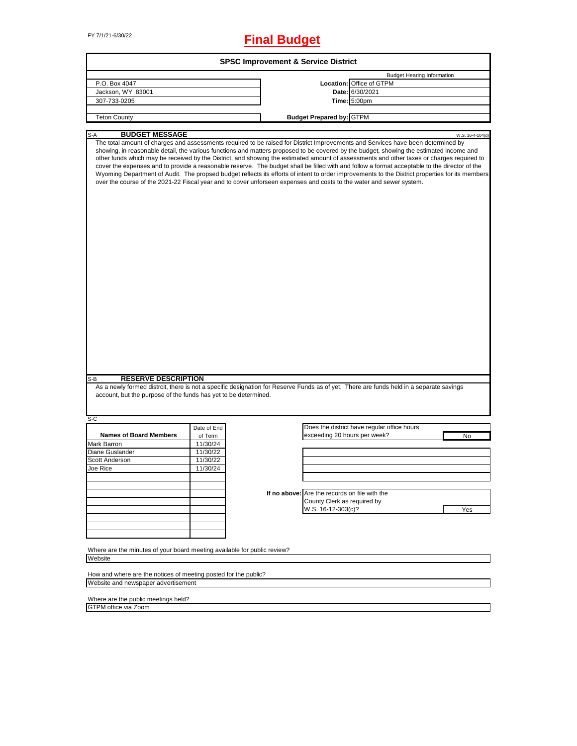# FY 7/1/21-6/30/22 **Final Budget**

| account, but the purpose of the funds has yet to be determined.          | Location: Office of GTPM<br>Date: 6/30/2021<br>Time: 5:00pm<br><b>Budget Prepared by: GTPM</b><br>over the course of the 2021-22 Fiscal year and to cover unforseen expenses and costs to the water and sewer system.<br>As a newly formed distrcit, there is not a specific designation for Reserve Funds as of yet. There are funds held in a separate savings | <b>Budget Hearing Information</b><br>W.S. 16-4-104(d)<br>The total amount of charges and assessments required to be raised for District Improvements and Services have been determined by<br>showing, in reasonable detail, the various functions and matters proposed to be covered by the budget, showing the estimated income and<br>other funds which may be received by the District, and showing the estimated amount of assessments and other taxes or charges required to<br>cover the expenses and to provide a reasonable reserve. The budget shall be filled with and follow a format acceptable to the director of the<br>Wyoming Department of Audit. The propsed budget reflects its efforts of intent to order improvements to the District properties for its members |
|--------------------------------------------------------------------------|------------------------------------------------------------------------------------------------------------------------------------------------------------------------------------------------------------------------------------------------------------------------------------------------------------------------------------------------------------------|---------------------------------------------------------------------------------------------------------------------------------------------------------------------------------------------------------------------------------------------------------------------------------------------------------------------------------------------------------------------------------------------------------------------------------------------------------------------------------------------------------------------------------------------------------------------------------------------------------------------------------------------------------------------------------------------------------------------------------------------------------------------------------------|
|                                                                          |                                                                                                                                                                                                                                                                                                                                                                  |                                                                                                                                                                                                                                                                                                                                                                                                                                                                                                                                                                                                                                                                                                                                                                                       |
|                                                                          |                                                                                                                                                                                                                                                                                                                                                                  |                                                                                                                                                                                                                                                                                                                                                                                                                                                                                                                                                                                                                                                                                                                                                                                       |
|                                                                          |                                                                                                                                                                                                                                                                                                                                                                  |                                                                                                                                                                                                                                                                                                                                                                                                                                                                                                                                                                                                                                                                                                                                                                                       |
|                                                                          |                                                                                                                                                                                                                                                                                                                                                                  |                                                                                                                                                                                                                                                                                                                                                                                                                                                                                                                                                                                                                                                                                                                                                                                       |
|                                                                          |                                                                                                                                                                                                                                                                                                                                                                  |                                                                                                                                                                                                                                                                                                                                                                                                                                                                                                                                                                                                                                                                                                                                                                                       |
|                                                                          |                                                                                                                                                                                                                                                                                                                                                                  |                                                                                                                                                                                                                                                                                                                                                                                                                                                                                                                                                                                                                                                                                                                                                                                       |
|                                                                          |                                                                                                                                                                                                                                                                                                                                                                  |                                                                                                                                                                                                                                                                                                                                                                                                                                                                                                                                                                                                                                                                                                                                                                                       |
|                                                                          |                                                                                                                                                                                                                                                                                                                                                                  |                                                                                                                                                                                                                                                                                                                                                                                                                                                                                                                                                                                                                                                                                                                                                                                       |
|                                                                          |                                                                                                                                                                                                                                                                                                                                                                  |                                                                                                                                                                                                                                                                                                                                                                                                                                                                                                                                                                                                                                                                                                                                                                                       |
|                                                                          |                                                                                                                                                                                                                                                                                                                                                                  |                                                                                                                                                                                                                                                                                                                                                                                                                                                                                                                                                                                                                                                                                                                                                                                       |
|                                                                          |                                                                                                                                                                                                                                                                                                                                                                  |                                                                                                                                                                                                                                                                                                                                                                                                                                                                                                                                                                                                                                                                                                                                                                                       |
|                                                                          |                                                                                                                                                                                                                                                                                                                                                                  |                                                                                                                                                                                                                                                                                                                                                                                                                                                                                                                                                                                                                                                                                                                                                                                       |
|                                                                          |                                                                                                                                                                                                                                                                                                                                                                  |                                                                                                                                                                                                                                                                                                                                                                                                                                                                                                                                                                                                                                                                                                                                                                                       |
|                                                                          |                                                                                                                                                                                                                                                                                                                                                                  | No                                                                                                                                                                                                                                                                                                                                                                                                                                                                                                                                                                                                                                                                                                                                                                                    |
|                                                                          |                                                                                                                                                                                                                                                                                                                                                                  |                                                                                                                                                                                                                                                                                                                                                                                                                                                                                                                                                                                                                                                                                                                                                                                       |
|                                                                          |                                                                                                                                                                                                                                                                                                                                                                  |                                                                                                                                                                                                                                                                                                                                                                                                                                                                                                                                                                                                                                                                                                                                                                                       |
|                                                                          |                                                                                                                                                                                                                                                                                                                                                                  |                                                                                                                                                                                                                                                                                                                                                                                                                                                                                                                                                                                                                                                                                                                                                                                       |
|                                                                          |                                                                                                                                                                                                                                                                                                                                                                  |                                                                                                                                                                                                                                                                                                                                                                                                                                                                                                                                                                                                                                                                                                                                                                                       |
|                                                                          |                                                                                                                                                                                                                                                                                                                                                                  |                                                                                                                                                                                                                                                                                                                                                                                                                                                                                                                                                                                                                                                                                                                                                                                       |
|                                                                          |                                                                                                                                                                                                                                                                                                                                                                  |                                                                                                                                                                                                                                                                                                                                                                                                                                                                                                                                                                                                                                                                                                                                                                                       |
|                                                                          |                                                                                                                                                                                                                                                                                                                                                                  |                                                                                                                                                                                                                                                                                                                                                                                                                                                                                                                                                                                                                                                                                                                                                                                       |
|                                                                          |                                                                                                                                                                                                                                                                                                                                                                  | Yes                                                                                                                                                                                                                                                                                                                                                                                                                                                                                                                                                                                                                                                                                                                                                                                   |
|                                                                          |                                                                                                                                                                                                                                                                                                                                                                  |                                                                                                                                                                                                                                                                                                                                                                                                                                                                                                                                                                                                                                                                                                                                                                                       |
|                                                                          |                                                                                                                                                                                                                                                                                                                                                                  |                                                                                                                                                                                                                                                                                                                                                                                                                                                                                                                                                                                                                                                                                                                                                                                       |
|                                                                          |                                                                                                                                                                                                                                                                                                                                                                  |                                                                                                                                                                                                                                                                                                                                                                                                                                                                                                                                                                                                                                                                                                                                                                                       |
|                                                                          |                                                                                                                                                                                                                                                                                                                                                                  |                                                                                                                                                                                                                                                                                                                                                                                                                                                                                                                                                                                                                                                                                                                                                                                       |
| Where are the minutes of your board meeting available for public review? |                                                                                                                                                                                                                                                                                                                                                                  |                                                                                                                                                                                                                                                                                                                                                                                                                                                                                                                                                                                                                                                                                                                                                                                       |
|                                                                          |                                                                                                                                                                                                                                                                                                                                                                  |                                                                                                                                                                                                                                                                                                                                                                                                                                                                                                                                                                                                                                                                                                                                                                                       |
|                                                                          |                                                                                                                                                                                                                                                                                                                                                                  |                                                                                                                                                                                                                                                                                                                                                                                                                                                                                                                                                                                                                                                                                                                                                                                       |
|                                                                          |                                                                                                                                                                                                                                                                                                                                                                  |                                                                                                                                                                                                                                                                                                                                                                                                                                                                                                                                                                                                                                                                                                                                                                                       |
| How and where are the notices of meeting posted for the public?          |                                                                                                                                                                                                                                                                                                                                                                  |                                                                                                                                                                                                                                                                                                                                                                                                                                                                                                                                                                                                                                                                                                                                                                                       |
|                                                                          |                                                                                                                                                                                                                                                                                                                                                                  | Does the district have regular office hours<br>exceeding 20 hours per week?<br>If no above: Are the records on file with the<br>County Clerk as required by<br>W.S. 16-12-303(c)?                                                                                                                                                                                                                                                                                                                                                                                                                                                                                                                                                                                                     |

ד

Where are the public meetings held? GTPM office via Zoom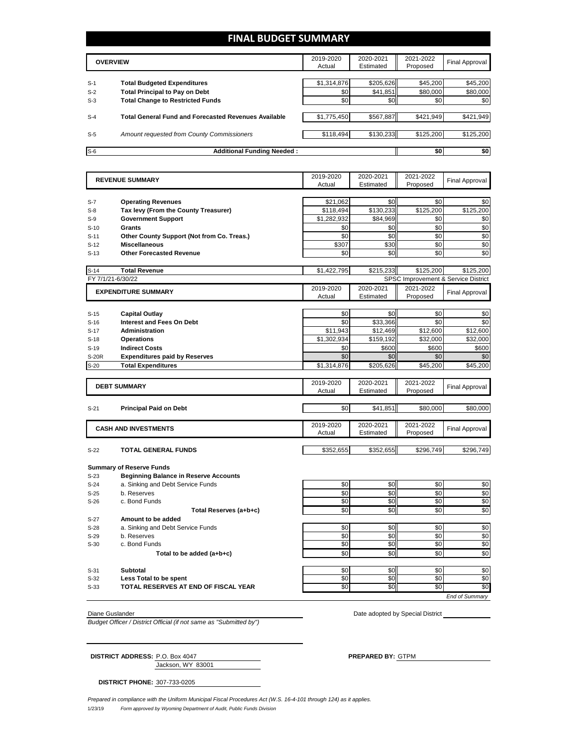## **FINAL BUDGET SUMMARY**

|       | <b>OVERVIEW</b>                                             | 2019-2020<br>Actual | 2020-2021<br>Estimated | 2021-2022<br>Proposed | Final Approval |
|-------|-------------------------------------------------------------|---------------------|------------------------|-----------------------|----------------|
|       |                                                             |                     |                        |                       |                |
| $S-1$ | <b>Total Budgeted Expenditures</b>                          | \$1,314,876         | \$205,626              | \$45,200              | \$45,200       |
| $S-2$ | <b>Total Principal to Pay on Debt</b>                       | \$0                 | \$41,851               | \$80,000              | \$80,000       |
| $S-3$ | <b>Total Change to Restricted Funds</b>                     | \$0                 | \$0                    | \$0                   | \$0            |
|       |                                                             |                     |                        |                       |                |
| $S-4$ | <b>Total General Fund and Forecasted Revenues Available</b> | \$1,775,450         | \$567,887              | \$421,949             | \$421,949      |
| $S-5$ | Amount requested from County Commissioners                  | \$118.494           | \$130.233              | \$125.200             | \$125,200      |
|       |                                                             |                     |                        |                       |                |
| $S-6$ | <b>Additional Funding Needed:</b>                           |                     |                        | \$0                   | \$0            |

|                | <b>REVENUE SUMMARY</b>                       | 2019-2020             | 2020-2021 | 2021-2022 | <b>Final Approval</b>               |  |  |
|----------------|----------------------------------------------|-----------------------|-----------|-----------|-------------------------------------|--|--|
|                |                                              | Actual                | Estimated | Proposed  |                                     |  |  |
|                |                                              |                       | \$0       | \$0       |                                     |  |  |
| $S-7$<br>$S-8$ | <b>Operating Revenues</b>                    | \$21,062<br>\$118,494 | \$130,233 | \$125,200 | \$0<br>\$125,200                    |  |  |
|                | Tax levy (From the County Treasurer)         |                       | \$84,969  | \$0       |                                     |  |  |
| $S-9$          | <b>Government Support</b>                    | \$1,282,932           |           |           | \$0                                 |  |  |
| $S-10$         | Grants                                       | \$0                   | \$0       | \$0       | \$0                                 |  |  |
| $S-11$         | Other County Support (Not from Co. Treas.)   | \$0                   | \$0       | \$0       | \$0                                 |  |  |
| $S-12$         | <b>Miscellaneous</b>                         | \$307                 | \$30      | \$0       | \$0                                 |  |  |
| $S-13$         | <b>Other Forecasted Revenue</b>              | \$0                   | \$0       | \$0       | \$0                                 |  |  |
| $S-14$         | <b>Total Revenue</b>                         | \$1,422,795           | \$215,233 | \$125,200 | \$125,200                           |  |  |
|                | FY 7/1/21-6/30/22                            |                       |           |           | SPSC Improvement & Service District |  |  |
|                | <b>EXPENDITURE SUMMARY</b>                   | 2019-2020             | 2020-2021 | 2021-2022 |                                     |  |  |
|                |                                              | Actual                | Estimated | Proposed  | <b>Final Approval</b>               |  |  |
|                |                                              |                       |           |           |                                     |  |  |
| $S-15$         | <b>Capital Outlay</b>                        | \$0                   | \$0       | \$0       | \$0                                 |  |  |
| $S-16$         | <b>Interest and Fees On Debt</b>             | \$0                   | \$33,366  | \$0       | \$0                                 |  |  |
| $S-17$         | <b>Administration</b>                        | \$11,943              | \$12,469  | \$12,600  | \$12,600                            |  |  |
| $S-18$         | <b>Operations</b>                            | \$1,302,934           | \$159,192 | \$32,000  | \$32,000                            |  |  |
| $S-19$         | <b>Indirect Costs</b>                        | \$0                   | \$600     | \$600     | \$600                               |  |  |
| S-20R          | <b>Expenditures paid by Reserves</b>         | \$0                   | \$0       | \$0       | \$0                                 |  |  |
| $S-20$         | <b>Total Expenditures</b>                    | \$1,314,876           | \$205,626 | \$45,200  | \$45,200                            |  |  |
|                |                                              |                       |           |           |                                     |  |  |
|                | <b>DEBT SUMMARY</b>                          | 2019-2020             | 2020-2021 | 2021-2022 | <b>Final Approval</b>               |  |  |
|                |                                              | Actual                | Estimated | Proposed  |                                     |  |  |
| $S-21$         | <b>Principal Paid on Debt</b>                | \$0                   | \$41,851  | \$80,000  | \$80,000                            |  |  |
|                |                                              |                       |           |           |                                     |  |  |
|                | <b>CASH AND INVESTMENTS</b>                  | 2019-2020             | 2020-2021 | 2021-2022 |                                     |  |  |
|                |                                              | Actual                | Estimated | Proposed  | <b>Final Approval</b>               |  |  |
|                |                                              |                       |           |           |                                     |  |  |
| $S-22$         | <b>TOTAL GENERAL FUNDS</b>                   | \$352.655             | \$352.655 | \$296.749 | \$296,749                           |  |  |
|                | <b>Summary of Reserve Funds</b>              |                       |           |           |                                     |  |  |
| $S-23$         | <b>Beginning Balance in Reserve Accounts</b> |                       |           |           |                                     |  |  |
| $S-24$         | a. Sinking and Debt Service Funds            | \$0                   | \$0       | \$0       | \$0                                 |  |  |
| $S-25$         | b. Reserves                                  | \$0                   | \$0       | \$0       | \$0                                 |  |  |
| $S-26$         | c. Bond Funds                                | \$0                   | \$0       | \$0       | \$0                                 |  |  |
|                | Total Reserves (a+b+c)                       | \$0                   | \$0       | \$0       | \$0                                 |  |  |
| $S-27$         | Amount to be added                           |                       |           |           |                                     |  |  |
| $S-28$         | a. Sinking and Debt Service Funds            | \$0                   | \$0       | \$0       | \$0                                 |  |  |
| $S-29$         | b. Reserves                                  | \$0                   | \$0       | \$0       | \$0                                 |  |  |
| $S-30$         | c. Bond Funds                                | \$0                   | \$0       | \$0       | \$0                                 |  |  |
|                | Total to be added (a+b+c)                    | \$0                   | \$0       | \$0       | \$0                                 |  |  |
|                |                                              |                       |           |           |                                     |  |  |
| $S-31$         | Subtotal                                     | \$0                   | \$0       | \$0       | \$0                                 |  |  |
| $S-32$         | Less Total to be spent                       | \$0                   | \$0       | \$0       | \$0                                 |  |  |
| $S-33$         | TOTAL RESERVES AT END OF FISCAL YEAR         | \$0                   | \$0       | \$0       | \$0                                 |  |  |
|                |                                              |                       |           |           | <b>End of Summary</b>               |  |  |

*Budget Officer / District Official (if not same as "Submitted by")*

Diane Guslander **Diane Guslander** Diane Guslander **Diane Guslander Accord District** Diane Cuslander **Diane Cuslander District** District

Jackson, WY 83001 **DISTRICT ADDRESS:** P.O. Box 4047 **PREPARED BY:** GTPM

**DISTRICT PHONE:** 307-733-0205

*Prepared in compliance with the Uniform Municipal Fiscal Procedures Act (W.S. 16-4-101 through 124) as it applies.*

1/23/19 *Form approved by Wyoming Department of Audit, Public Funds Division*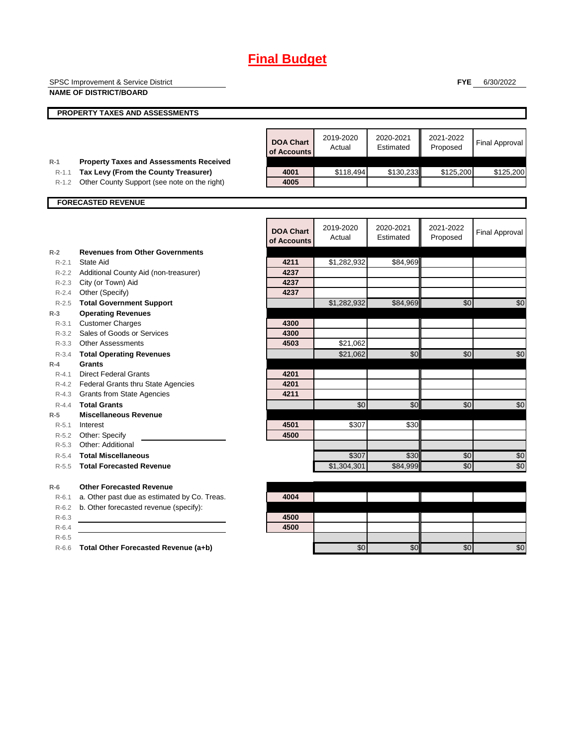|                  | SPSC Improvement & Service District              |                  |             |           | <b>FYE</b> | 6/30/2022             |
|------------------|--------------------------------------------------|------------------|-------------|-----------|------------|-----------------------|
|                  | <b>NAME OF DISTRICT/BOARD</b>                    |                  |             |           |            |                       |
|                  | <b>PROPERTY TAXES AND ASSESSMENTS</b>            |                  |             |           |            |                       |
|                  |                                                  |                  |             |           |            |                       |
|                  |                                                  |                  |             |           |            |                       |
|                  |                                                  | <b>DOA Chart</b> | 2019-2020   | 2020-2021 | 2021-2022  | <b>Final Approval</b> |
|                  |                                                  | of Accounts      | Actual      | Estimated | Proposed   |                       |
| $R-1$            | <b>Property Taxes and Assessments Received</b>   |                  |             |           |            |                       |
| $R-1.1$          | Tax Levy (From the County Treasurer)             | 4001             | \$118,494   | \$130,233 | \$125,200  | \$125,200             |
| $R-1.2$          | Other County Support (see note on the right)     | 4005             |             |           |            |                       |
|                  |                                                  |                  |             |           |            |                       |
|                  | <b>FORECASTED REVENUE</b>                        |                  |             |           |            |                       |
|                  |                                                  |                  |             |           |            |                       |
|                  |                                                  | <b>DOA Chart</b> | 2019-2020   | 2020-2021 | 2021-2022  | <b>Final Approval</b> |
|                  |                                                  | of Accounts      | Actual      | Estimated | Proposed   |                       |
| $R-2$            | <b>Revenues from Other Governments</b>           |                  |             |           |            |                       |
| $R-2.1$          | <b>State Aid</b>                                 | 4211             | \$1,282,932 | \$84,969  |            |                       |
|                  | R-2.2 Additional County Aid (non-treasurer)      | 4237             |             |           |            |                       |
|                  | R-2.3 City (or Town) Aid                         | 4237             |             |           |            |                       |
|                  | R-2.4 Other (Specify)                            | 4237             |             |           |            |                       |
| $R - 2.5$        | <b>Total Government Support</b>                  |                  | \$1,282,932 | \$84,969  | \$0        | \$0                   |
| $R-3$            | <b>Operating Revenues</b>                        |                  |             |           |            |                       |
| $R - 3.1$        | <b>Customer Charges</b>                          | 4300             |             |           |            |                       |
|                  | R-3.2 Sales of Goods or Services                 | 4300             |             |           |            |                       |
|                  | R-3.3 Other Assessments                          | 4503             | \$21,062    |           |            |                       |
| $R-3.4$<br>$R-4$ | <b>Total Operating Revenues</b><br><b>Grants</b> |                  | \$21,062    | \$0       | \$0        | \$0                   |
| $R - 4.1$        | <b>Direct Federal Grants</b>                     | 4201             |             |           |            |                       |
|                  | R-4.2 Federal Grants thru State Agencies         | 4201             |             |           |            |                       |
|                  | R-4.3 Grants from State Agencies                 | 4211             |             |           |            |                       |
| $R - 4.4$        | <b>Total Grants</b>                              |                  | \$0         | \$0       | \$0        | \$0                   |
| $R-5$            | <b>Miscellaneous Revenue</b>                     |                  |             |           |            |                       |
| $R - 5.1$        | Interest                                         | 4501             | \$307       | \$30      |            |                       |
|                  | R-5.2 Other: Specify                             | 4500             |             |           |            |                       |
| $R - 5.3$        | Other: Additional                                |                  |             |           |            |                       |
| $R - 5.4$        | <b>Total Miscellaneous</b>                       |                  | \$307       | \$30      | \$0        | \$0                   |
| $R - 5.5$        | <b>Total Forecasted Revenue</b>                  |                  | \$1,304,301 | \$84,999  | \$0        | \$0                   |
| $R-6$            | <b>Other Forecasted Revenue</b>                  |                  |             |           |            |                       |
| $R-6.1$          | a. Other past due as estimated by Co. Treas.     | 4004             |             |           |            |                       |
| $R-6.2$          | b. Other forecasted revenue (specify):           |                  |             |           |            |                       |
| $R-6.3$          |                                                  | 4500             |             |           |            |                       |
| $R-6.4$          |                                                  | 4500             |             |           |            |                       |
| $R-6.5$          |                                                  |                  |             |           |            |                       |
|                  | R-6.6 Total Other Forecasted Revenue (a+b)       |                  | \$0         | \$0       | \$0        | \$0                   |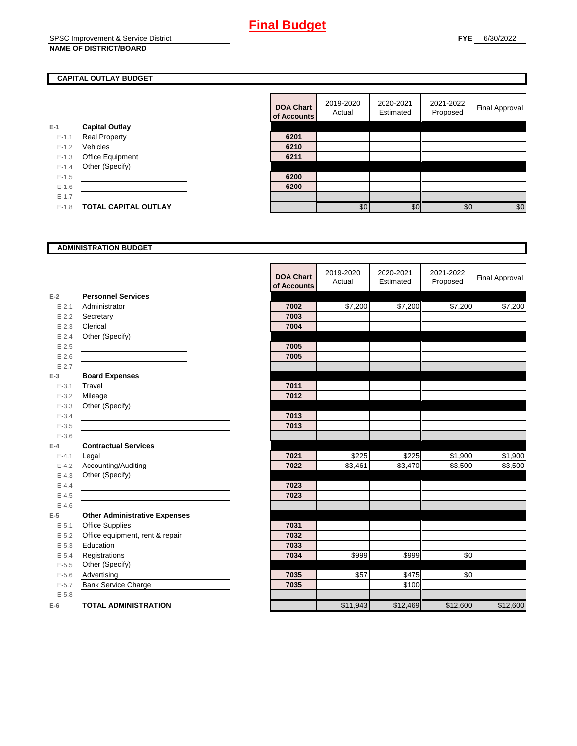## **CAPITAL OUTLAY BUDGET**

|           |                             | ui Auuu |
|-----------|-----------------------------|---------|
| $E-1$     | <b>Capital Outlay</b>       |         |
| $E-1.1$   | <b>Real Property</b>        | 6201    |
| $E - 1.2$ | Vehicles                    | 6210    |
| $E-1.3$   | Office Equipment            | 6211    |
| $E - 1.4$ | Other (Specify)             |         |
| $E - 1.5$ |                             | 6200    |
| $E-1.6$   |                             | 6200    |
| $E - 1.7$ |                             |         |
| $E - 1.8$ | <b>TOTAL CAPITAL OUTLAY</b> |         |
|           |                             |         |

| <b>DOA Chart</b><br>of Accounts | 2019-2020<br>Actual | 2020-2021<br>Estimated | 2021-2022<br>Proposed | <b>Final Approval</b> |
|---------------------------------|---------------------|------------------------|-----------------------|-----------------------|
|                                 |                     |                        |                       |                       |
| 6201                            |                     |                        |                       |                       |
| 6210                            |                     |                        |                       |                       |
| 6211                            |                     |                        |                       |                       |
|                                 |                     |                        |                       |                       |
| 6200                            |                     |                        |                       |                       |
| 6200                            |                     |                        |                       |                       |
|                                 |                     |                        |                       |                       |
|                                 | \$0                 | \$C                    | \$0                   | \$0                   |

### **ADMINISTRATION BUDGET**

|           |                                      | <b>DOA Chart</b><br>of Accounts | 2019-2020<br>Actual | 2020-2021<br>Estimated | 2021-2022<br>Proposed | <b>Final Approval</b> |
|-----------|--------------------------------------|---------------------------------|---------------------|------------------------|-----------------------|-----------------------|
| $E-2$     | <b>Personnel Services</b>            |                                 |                     |                        |                       |                       |
| $E - 2.1$ | Administrator                        | 7002                            | \$7,200             | \$7,200                | \$7,200               | \$7,200               |
| $E - 2.2$ | Secretary                            | 7003                            |                     |                        |                       |                       |
| $E - 2.3$ | Clerical                             | 7004                            |                     |                        |                       |                       |
| $E - 2.4$ | Other (Specify)                      |                                 |                     |                        |                       |                       |
| $E-2.5$   |                                      | 7005                            |                     |                        |                       |                       |
| $E - 2.6$ |                                      | 7005                            |                     |                        |                       |                       |
| $E - 2.7$ |                                      |                                 |                     |                        |                       |                       |
| $E-3$     | <b>Board Expenses</b>                |                                 |                     |                        |                       |                       |
| $E - 3.1$ | Travel                               | 7011                            |                     |                        |                       |                       |
| $E - 3.2$ | Mileage                              | 7012                            |                     |                        |                       |                       |
| $E - 3.3$ | Other (Specify)                      |                                 |                     |                        |                       |                       |
| $E - 3.4$ |                                      | 7013                            |                     |                        |                       |                       |
| $E - 3.5$ |                                      | 7013                            |                     |                        |                       |                       |
| $E - 3.6$ |                                      |                                 |                     |                        |                       |                       |
| $E-4$     | <b>Contractual Services</b>          |                                 |                     |                        |                       |                       |
| $E - 4.1$ | Legal                                | 7021                            | \$225               | \$225                  | \$1,900               | \$1,900               |
| $E-4.2$   | Accounting/Auditing                  | 7022                            | \$3,461             | \$3,470                | \$3,500               | \$3,500               |
| $E - 4.3$ | Other (Specify)                      |                                 |                     |                        |                       |                       |
| $E - 4.4$ |                                      | 7023                            |                     |                        |                       |                       |
| $E-4.5$   |                                      | 7023                            |                     |                        |                       |                       |
| $E-4.6$   |                                      |                                 |                     |                        |                       |                       |
| $E-5$     | <b>Other Administrative Expenses</b> |                                 |                     |                        |                       |                       |
| $E - 5.1$ | <b>Office Supplies</b>               | 7031                            |                     |                        |                       |                       |
| $E - 5.2$ | Office equipment, rent & repair      | 7032                            |                     |                        |                       |                       |
| $E - 5.3$ | Education                            | 7033                            |                     |                        |                       |                       |
| $E - 5.4$ | Registrations                        | 7034                            | $\overline{$}$ 999  | $\overline{$}$ 999     | $\frac{1}{6}$         |                       |
| $E-5.5$   | Other (Specify)                      |                                 |                     |                        |                       |                       |
| $E-5.6$   | Advertising                          | 7035                            | \$57                | \$475                  | \$0                   |                       |
| $E - 5.7$ | <b>Bank Service Charge</b>           | 7035                            |                     | \$100                  |                       |                       |
| $E - 5.8$ |                                      |                                 |                     |                        |                       |                       |
| $E-6$     | <b>TOTAL ADMINISTRATION</b>          |                                 | \$11,943            | \$12,469               | \$12,600              | \$12,600              |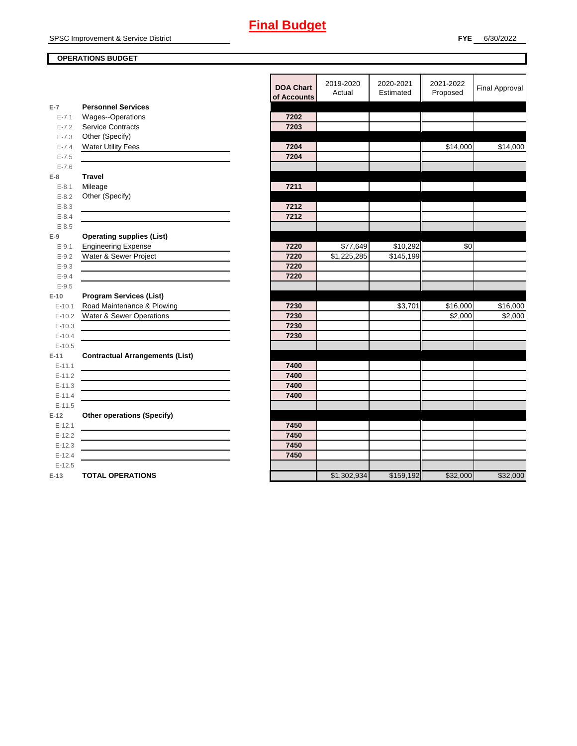## **OPERATIONS BUDGET**

|            |                                                                                           | <b>DOA Chart</b><br>of Accounts | 2019-2020<br>Actual | 2020-2021<br>Estimated | 2021-2022<br>Proposed | <b>Final Approval</b> |
|------------|-------------------------------------------------------------------------------------------|---------------------------------|---------------------|------------------------|-----------------------|-----------------------|
| $E-7$      | <b>Personnel Services</b>                                                                 |                                 |                     |                        |                       |                       |
| $E - 7.1$  | Wages--Operations                                                                         | 7202                            |                     |                        |                       |                       |
| $E - 7.2$  | <b>Service Contracts</b>                                                                  | 7203                            |                     |                        |                       |                       |
| $E - 7.3$  | Other (Specify)                                                                           |                                 |                     |                        |                       |                       |
| $E - 7.4$  | <b>Water Utility Fees</b>                                                                 | 7204                            |                     |                        | \$14,000              | \$14,000              |
| $E - 7.5$  |                                                                                           | 7204                            |                     |                        |                       |                       |
| $E - 7.6$  |                                                                                           |                                 |                     |                        |                       |                       |
| $E-8$      | <b>Travel</b>                                                                             |                                 |                     |                        |                       |                       |
| $E - 8.1$  | Mileage                                                                                   | 7211                            |                     |                        |                       |                       |
| $E - 8.2$  | Other (Specify)                                                                           |                                 |                     |                        |                       |                       |
| $E - 8.3$  |                                                                                           | 7212                            |                     |                        |                       |                       |
| $E - 8.4$  |                                                                                           | 7212                            |                     |                        |                       |                       |
| $E - 8.5$  |                                                                                           |                                 |                     |                        |                       |                       |
| $E-9$      | <b>Operating supplies (List)</b>                                                          |                                 |                     |                        |                       |                       |
| $E - 9.1$  | <b>Engineering Expense</b>                                                                | 7220                            | \$77,649            | \$10,292               | \$0                   |                       |
| $E - 9.2$  | Water & Sewer Project                                                                     | 7220                            | \$1,225,285         | \$145,199              |                       |                       |
| $E-9.3$    |                                                                                           | 7220                            |                     |                        |                       |                       |
| $E - 9.4$  |                                                                                           | 7220                            |                     |                        |                       |                       |
| $E - 9.5$  |                                                                                           |                                 |                     |                        |                       |                       |
| $E-10$     | <b>Program Services (List)</b>                                                            |                                 |                     |                        |                       |                       |
| $E - 10.1$ | Road Maintenance & Plowing                                                                | 7230                            |                     | \$3,701                | \$16,000              | \$16,000              |
| $E-10.2$   | Water & Sewer Operations                                                                  | 7230                            |                     |                        | \$2,000               | \$2,000               |
| $E-10.3$   |                                                                                           | 7230                            |                     |                        |                       |                       |
| $E-10.4$   |                                                                                           | 7230                            |                     |                        |                       |                       |
| $E-10.5$   |                                                                                           |                                 |                     |                        |                       |                       |
| $E-11$     | <b>Contractual Arrangements (List)</b>                                                    |                                 |                     |                        |                       |                       |
| $E-11.1$   |                                                                                           | 7400                            |                     |                        |                       |                       |
| $E-11.2$   |                                                                                           | 7400                            |                     |                        |                       |                       |
| $E-11.3$   |                                                                                           | 7400                            |                     |                        |                       |                       |
| $E-11.4$   | the control of the control of the control of the control of the control of the control of | 7400                            |                     |                        |                       |                       |
| $E-11.5$   |                                                                                           |                                 |                     |                        |                       |                       |
| $E-12$     | <b>Other operations (Specify)</b>                                                         |                                 |                     |                        |                       |                       |
| $E-12.1$   |                                                                                           | 7450                            |                     |                        |                       |                       |
| $E-12.2$   |                                                                                           | 7450                            |                     |                        |                       |                       |
| $E-12.3$   |                                                                                           | 7450                            |                     |                        |                       |                       |
| $E-12.4$   |                                                                                           | 7450                            |                     |                        |                       |                       |
| $E-12.5$   |                                                                                           |                                 |                     |                        |                       |                       |
| $E-13$     | <b>TOTAL OPERATIONS</b>                                                                   |                                 | \$1,302,934         | \$159,192              | \$32,000              | \$32,000              |
|            |                                                                                           |                                 |                     |                        |                       |                       |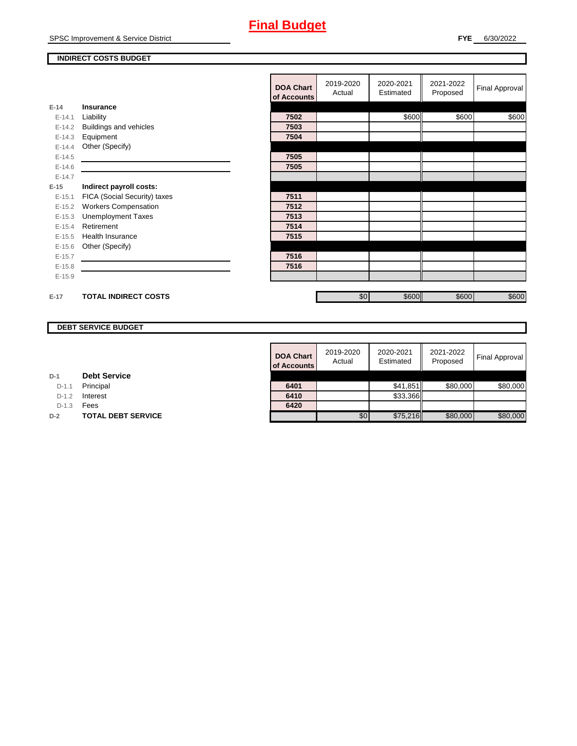## **INDIRECT COSTS BUDGET**

|          |                               | <b>DOA Chart</b><br>of Accounts | 2019-2020<br>Actual | 2020-2021<br>Estimated | 2021-2022<br>Proposed | Final Approval |
|----------|-------------------------------|---------------------------------|---------------------|------------------------|-----------------------|----------------|
| $E-14$   | Insurance                     |                                 |                     |                        |                       |                |
| $E-14.1$ | Liability                     | 7502                            |                     | \$600                  | \$600                 | \$600          |
| $E-14.2$ | <b>Buildings and vehicles</b> | 7503                            |                     |                        |                       |                |
| $E-14.3$ | Equipment                     | 7504                            |                     |                        |                       |                |
| $E-14.4$ | Other (Specify)               |                                 |                     |                        |                       |                |
| $E-14.5$ |                               | 7505                            |                     |                        |                       |                |
| $E-14.6$ |                               | 7505                            |                     |                        |                       |                |
| $E-14.7$ |                               |                                 |                     |                        |                       |                |
| $E-15$   | Indirect payroll costs:       |                                 |                     |                        |                       |                |
| $E-15.1$ | FICA (Social Security) taxes  | 7511                            |                     |                        |                       |                |
| $E-15.2$ | <b>Workers Compensation</b>   | 7512                            |                     |                        |                       |                |
| $E-15.3$ | <b>Unemployment Taxes</b>     | 7513                            |                     |                        |                       |                |
| $E-15.4$ | Retirement                    | 7514                            |                     |                        |                       |                |
| $E-15.5$ | <b>Health Insurance</b>       | 7515                            |                     |                        |                       |                |
| $E-15.6$ | Other (Specify)               |                                 |                     |                        |                       |                |
| $E-15.7$ |                               | 7516                            |                     |                        |                       |                |
| $E-15.8$ |                               | 7516                            |                     |                        |                       |                |
| $E-15.9$ |                               |                                 |                     |                        |                       |                |
|          |                               |                                 |                     |                        |                       |                |
| $E-17$   | <b>TOTAL INDIRECT COSTS</b>   |                                 | \$0                 | \$600                  | \$600                 | \$600          |

## **DEBT SERVICE BUDGET**

| 2019-2020<br>Actual | 2020-2021<br>Estimated | 2021-2022<br>Proposed | <b>Final Approval</b>            |
|---------------------|------------------------|-----------------------|----------------------------------|
|                     |                        |                       |                                  |
|                     |                        | \$80,000              | \$80,000                         |
|                     |                        |                       |                                  |
|                     |                        |                       |                                  |
| \$0                 |                        | \$80,000              | \$80,000                         |
|                     |                        |                       | \$41,851<br>\$33,366<br>\$75,216 |

| D-1 |  | <b>Debt Service</b> |
|-----|--|---------------------|
|-----|--|---------------------|

D-1.1 **Principal** 

D-1.2 **Interest** 

D-1.3 **Fees** 

**D-2 TOTAL DEBT SERVICE**